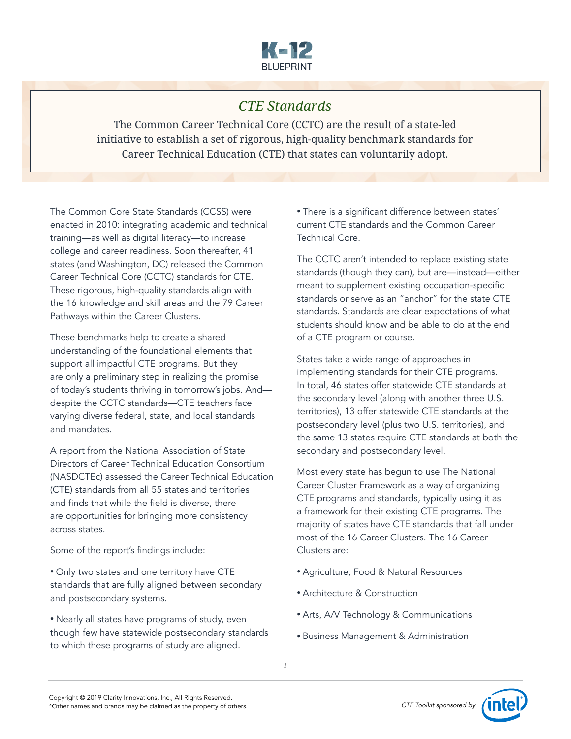

# *CTE Standards*

The Common Career Technical Core (CCTC) are the result of a state-led initiative to establish a set of rigorous, high-quality benchmark standards for Career Technical Education (CTE) that states can voluntarily adopt.

The Common Core State Standards (CCSS) were enacted in 2010: integrating academic and technical training—as well as digital literacy—to increase college and career readiness. Soon thereafter, 41 states (and Washington, DC) released the Common Career Technical Core (CCTC) standards for CTE. These rigorous, high-quality standards align with the 16 knowledge and skill areas and the 79 Career Pathways within the Career Clusters.

These benchmarks help to create a shared understanding of the foundational elements that support all impactful CTE programs. But they are only a preliminary step in realizing the promise of today's students thriving in tomorrow's jobs. And despite the CCTC standards—CTE teachers face varying diverse federal, state, and local standards and mandates.

A report from the National Association of State Directors of Career Technical Education Consortium (NASDCTEc) assessed the Career Technical Education (CTE) standards from all 55 states and territories and finds that while the field is diverse, there are opportunities for bringing more consistency across states.

Some of the report's findings include:

• Only two states and one territory have CTE standards that are fully aligned between secondary and postsecondary systems.

• Nearly all states have programs of study, even though few have statewide postsecondary standards to which these programs of study are aligned.

• There is a significant difference between states' current CTE standards and the Common Career Technical Core.

The CCTC aren't intended to replace existing state standards (though they can), but are—instead—either meant to supplement existing occupation-specific standards or serve as an "anchor" for the state CTE standards. Standards are clear expectations of what students should know and be able to do at the end of a CTE program or course.

States take a wide range of approaches in implementing standards for their CTE programs. In total, 46 states offer statewide CTE standards at the secondary level (along with another three U.S. territories), 13 offer statewide CTE standards at the postsecondary level (plus two U.S. territories), and the same 13 states require CTE standards at both the secondary and postsecondary level.

Most every state has begun to use The National Career Cluster Framework as a way of organizing CTE programs and standards, typically using it as a framework for their existing CTE programs. The majority of states have CTE standards that fall under most of the 16 Career Clusters. The 16 Career Clusters are:

- Agriculture, Food & Natural Resources
- Architecture & Construction
- Arts, A/V Technology & Communications
- Business Management & Administration

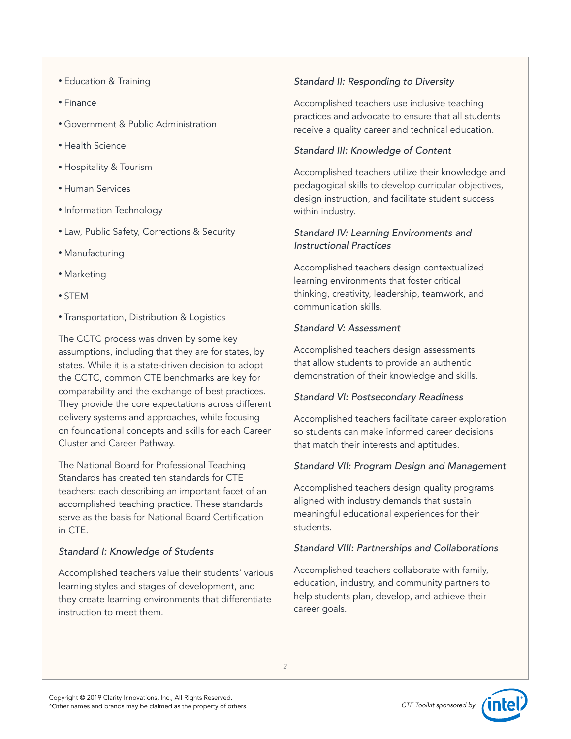- Education & Training
- Finance
- Government & Public Administration
- Health Science
- Hospitality & Tourism
- Human Services
- Information Technology
- Law, Public Safety, Corrections & Security
- Manufacturing
- Marketing
- STEM
- Transportation, Distribution & Logistics

The CCTC process was driven by some key assumptions, including that they are for states, by states. While it is a state-driven decision to adopt the CCTC, common CTE benchmarks are key for comparability and the exchange of best practices. They provide the core expectations across different delivery systems and approaches, while focusing on foundational concepts and skills for each Career Cluster and Career Pathway.

The National Board for Professional Teaching Standards has created ten standards for CTE teachers: each describing an important facet of an accomplished teaching practice. These standards serve as the basis for National Board Certification in CTE.

## *Standard I: Knowledge of Students*

Accomplished teachers value their students' various learning styles and stages of development, and they create learning environments that differentiate instruction to meet them.

## *Standard II: Responding to Diversity*

Accomplished teachers use inclusive teaching practices and advocate to ensure that all students receive a quality career and technical education.

#### *Standard III: Knowledge of Content*

Accomplished teachers utilize their knowledge and pedagogical skills to develop curricular objectives, design instruction, and facilitate student success within industry.

#### *Standard IV: Learning Environments and Instructional Practices*

Accomplished teachers design contextualized learning environments that foster critical thinking, creativity, leadership, teamwork, and communication skills.

#### *Standard V: Assessment*

Accomplished teachers design assessments that allow students to provide an authentic demonstration of their knowledge and skills.

#### *Standard VI: Postsecondary Readiness*

Accomplished teachers facilitate career exploration so students can make informed career decisions that match their interests and aptitudes.

#### *Standard VII: Program Design and Management*

Accomplished teachers design quality programs aligned with industry demands that sustain meaningful educational experiences for their students.

#### *Standard VIII: Partnerships and Collaborations*

Accomplished teachers collaborate with family, education, industry, and community partners to help students plan, develop, and achieve their career goals.